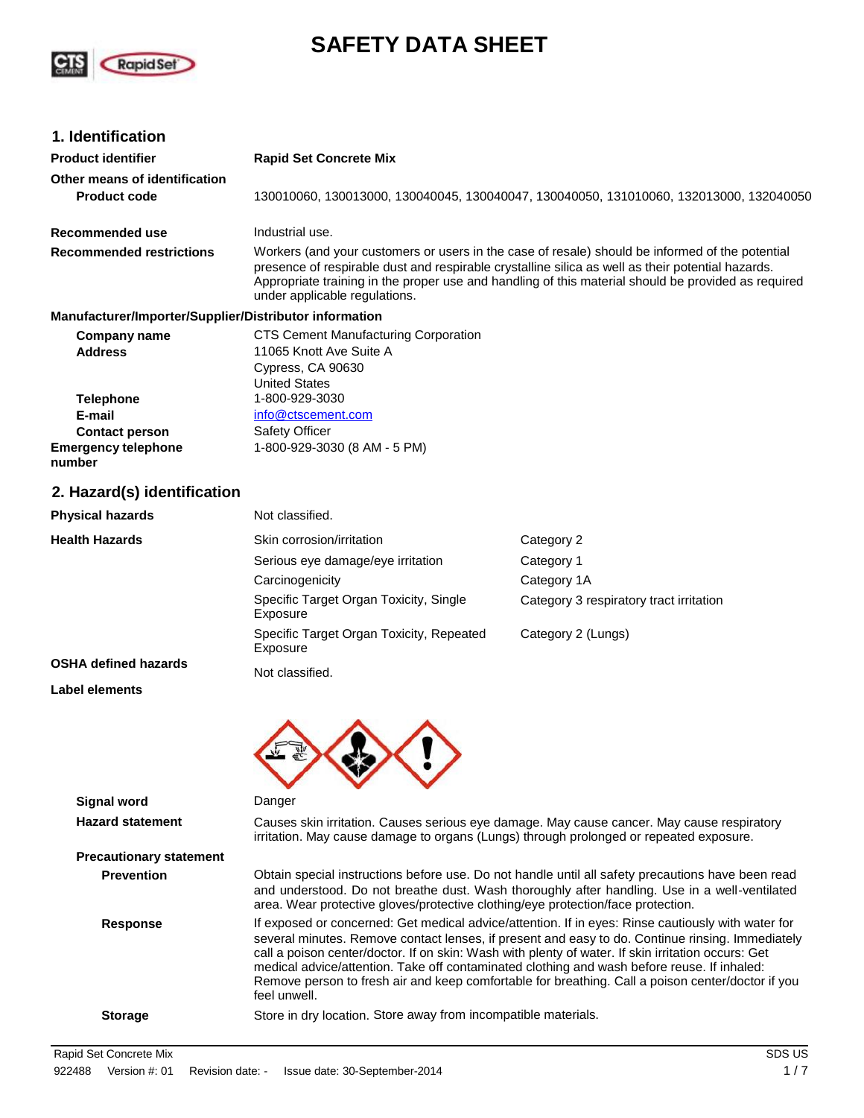

# **SAFETY DATA SHEET**

# **1. Identification**

| <b>Product identifier</b>                              | <b>Rapid Set Concrete Mix</b>                                                                                                                                                                                                                                                                                                                                                                                                                                                                                                    |                                         |  |
|--------------------------------------------------------|----------------------------------------------------------------------------------------------------------------------------------------------------------------------------------------------------------------------------------------------------------------------------------------------------------------------------------------------------------------------------------------------------------------------------------------------------------------------------------------------------------------------------------|-----------------------------------------|--|
| Other means of identification<br><b>Product code</b>   | 130010060, 130013000, 130040045, 130040047, 130040050, 131010060, 132013000, 132040050                                                                                                                                                                                                                                                                                                                                                                                                                                           |                                         |  |
| <b>Recommended use</b>                                 | Industrial use.                                                                                                                                                                                                                                                                                                                                                                                                                                                                                                                  |                                         |  |
| <b>Recommended restrictions</b>                        | Workers (and your customers or users in the case of resale) should be informed of the potential<br>presence of respirable dust and respirable crystalline silica as well as their potential hazards.<br>Appropriate training in the proper use and handling of this material should be provided as required<br>under applicable regulations.                                                                                                                                                                                     |                                         |  |
| Manufacturer/Importer/Supplier/Distributor information |                                                                                                                                                                                                                                                                                                                                                                                                                                                                                                                                  |                                         |  |
| <b>Company name</b><br><b>Address</b>                  | <b>CTS Cement Manufacturing Corporation</b><br>11065 Knott Ave Suite A<br>Cypress, CA 90630<br><b>United States</b>                                                                                                                                                                                                                                                                                                                                                                                                              |                                         |  |
| <b>Telephone</b>                                       | 1-800-929-3030                                                                                                                                                                                                                                                                                                                                                                                                                                                                                                                   |                                         |  |
| E-mail                                                 | info@ctscement.com                                                                                                                                                                                                                                                                                                                                                                                                                                                                                                               |                                         |  |
| <b>Contact person</b>                                  | Safety Officer                                                                                                                                                                                                                                                                                                                                                                                                                                                                                                                   |                                         |  |
| <b>Emergency telephone</b><br>number                   | 1-800-929-3030 (8 AM - 5 PM)                                                                                                                                                                                                                                                                                                                                                                                                                                                                                                     |                                         |  |
| 2. Hazard(s) identification                            |                                                                                                                                                                                                                                                                                                                                                                                                                                                                                                                                  |                                         |  |
| <b>Physical hazards</b>                                | Not classified.                                                                                                                                                                                                                                                                                                                                                                                                                                                                                                                  |                                         |  |
| <b>Health Hazards</b>                                  | Skin corrosion/irritation                                                                                                                                                                                                                                                                                                                                                                                                                                                                                                        | Category 2                              |  |
|                                                        | Serious eye damage/eye irritation                                                                                                                                                                                                                                                                                                                                                                                                                                                                                                | Category 1                              |  |
|                                                        | Carcinogenicity                                                                                                                                                                                                                                                                                                                                                                                                                                                                                                                  | Category 1A                             |  |
|                                                        | Specific Target Organ Toxicity, Single<br>Exposure                                                                                                                                                                                                                                                                                                                                                                                                                                                                               | Category 3 respiratory tract irritation |  |
|                                                        | Specific Target Organ Toxicity, Repeated<br>Exposure                                                                                                                                                                                                                                                                                                                                                                                                                                                                             | Category 2 (Lungs)                      |  |
| <b>OSHA defined hazards</b>                            | Not classified.                                                                                                                                                                                                                                                                                                                                                                                                                                                                                                                  |                                         |  |
| <b>Label elements</b>                                  |                                                                                                                                                                                                                                                                                                                                                                                                                                                                                                                                  |                                         |  |
|                                                        |                                                                                                                                                                                                                                                                                                                                                                                                                                                                                                                                  |                                         |  |
| <b>Signal word</b>                                     | Danger                                                                                                                                                                                                                                                                                                                                                                                                                                                                                                                           |                                         |  |
| <b>Hazard statement</b>                                | Causes skin irritation. Causes serious eye damage. May cause cancer. May cause respiratory<br>irritation. May cause damage to organs (Lungs) through prolonged or repeated exposure.                                                                                                                                                                                                                                                                                                                                             |                                         |  |
| <b>Precautionary statement</b>                         |                                                                                                                                                                                                                                                                                                                                                                                                                                                                                                                                  |                                         |  |
| <b>Prevention</b>                                      | Obtain special instructions before use. Do not handle until all safety precautions have been read<br>and understood. Do not breathe dust. Wash thoroughly after handling. Use in a well-ventilated<br>area. Wear protective gloves/protective clothing/eye protection/face protection.                                                                                                                                                                                                                                           |                                         |  |
| <b>Response</b>                                        | If exposed or concerned: Get medical advice/attention. If in eyes: Rinse cautiously with water for<br>several minutes. Remove contact lenses, if present and easy to do. Continue rinsing. Immediately<br>call a poison center/doctor. If on skin: Wash with plenty of water. If skin irritation occurs: Get<br>medical advice/attention. Take off contaminated clothing and wash before reuse. If inhaled:<br>Remove person to fresh air and keep comfortable for breathing. Call a poison center/doctor if you<br>feel unwell. |                                         |  |
| <b>Storage</b>                                         | Store in dry location. Store away from incompatible materials.                                                                                                                                                                                                                                                                                                                                                                                                                                                                   |                                         |  |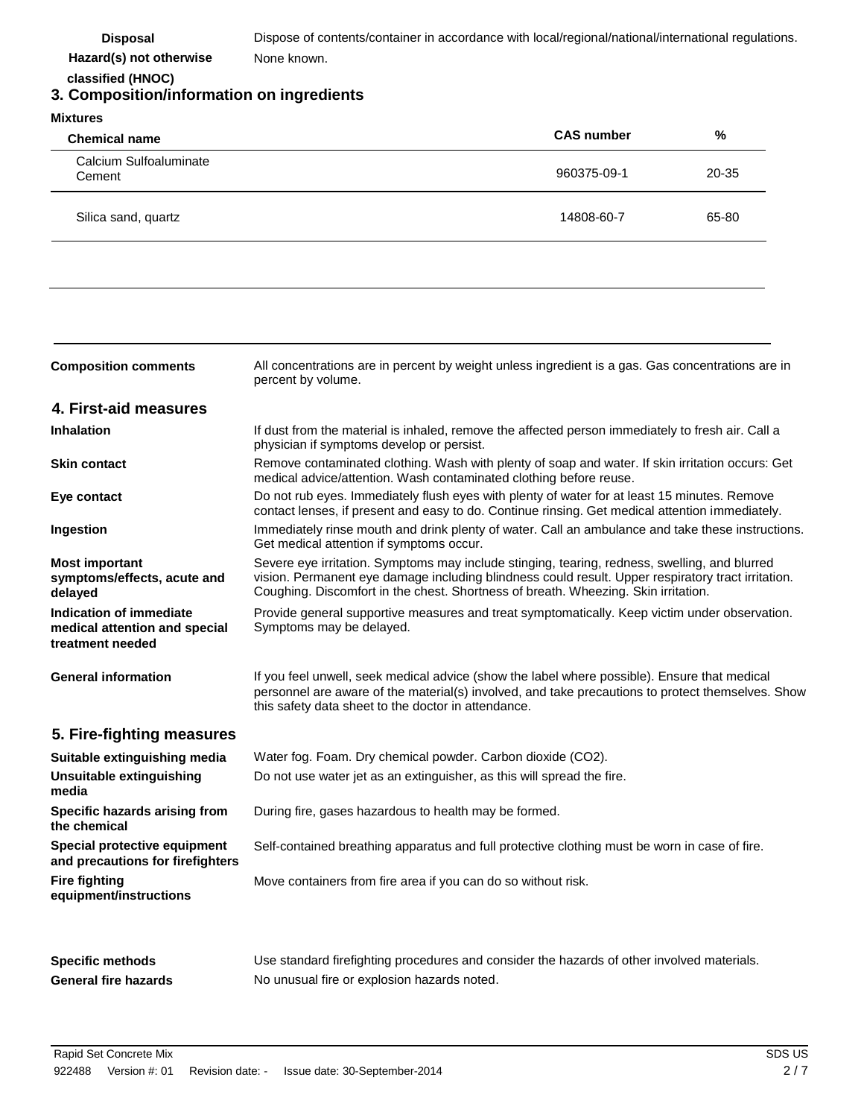Disposal Dispose of contents/container in accordance with local/regional/national/international regulations. None known.

 **Hazard(s) not otherwise classified (HNOC)**

# **3. Composition/information on ingredients**

| <b>Mixtures</b>                  |                   |       |
|----------------------------------|-------------------|-------|
| <b>Chemical name</b>             | <b>CAS number</b> | %     |
| Calcium Sulfoaluminate<br>Cement | 960375-09-1       | 20-35 |
| Silica sand, quartz              | 14808-60-7        | 65-80 |

| <b>Composition comments</b>                                                  | All concentrations are in percent by weight unless ingredient is a gas. Gas concentrations are in<br>percent by volume.                                                                                                                                                                   |
|------------------------------------------------------------------------------|-------------------------------------------------------------------------------------------------------------------------------------------------------------------------------------------------------------------------------------------------------------------------------------------|
| 4. First-aid measures                                                        |                                                                                                                                                                                                                                                                                           |
| <b>Inhalation</b>                                                            | If dust from the material is inhaled, remove the affected person immediately to fresh air. Call a<br>physician if symptoms develop or persist.                                                                                                                                            |
| <b>Skin contact</b>                                                          | Remove contaminated clothing. Wash with plenty of soap and water. If skin irritation occurs: Get<br>medical advice/attention. Wash contaminated clothing before reuse.                                                                                                                    |
| Eye contact                                                                  | Do not rub eyes. Immediately flush eyes with plenty of water for at least 15 minutes. Remove<br>contact lenses, if present and easy to do. Continue rinsing. Get medical attention immediately.                                                                                           |
| Ingestion                                                                    | Immediately rinse mouth and drink plenty of water. Call an ambulance and take these instructions.<br>Get medical attention if symptoms occur.                                                                                                                                             |
| <b>Most important</b><br>symptoms/effects, acute and<br>delayed              | Severe eye irritation. Symptoms may include stinging, tearing, redness, swelling, and blurred<br>vision. Permanent eye damage including blindness could result. Upper respiratory tract irritation.<br>Coughing. Discomfort in the chest. Shortness of breath. Wheezing. Skin irritation. |
| Indication of immediate<br>medical attention and special<br>treatment needed | Provide general supportive measures and treat symptomatically. Keep victim under observation.<br>Symptoms may be delayed.                                                                                                                                                                 |
| <b>General information</b>                                                   | If you feel unwell, seek medical advice (show the label where possible). Ensure that medical<br>personnel are aware of the material(s) involved, and take precautions to protect themselves. Show<br>this safety data sheet to the doctor in attendance.                                  |
| 5. Fire-fighting measures                                                    |                                                                                                                                                                                                                                                                                           |
| Suitable extinguishing media                                                 | Water fog. Foam. Dry chemical powder. Carbon dioxide (CO2).                                                                                                                                                                                                                               |
| Unsuitable extinguishing<br>media                                            | Do not use water jet as an extinguisher, as this will spread the fire.                                                                                                                                                                                                                    |
| Specific hazards arising from<br>the chemical                                | During fire, gases hazardous to health may be formed.                                                                                                                                                                                                                                     |
| Special protective equipment<br>and precautions for firefighters             | Self-contained breathing apparatus and full protective clothing must be worn in case of fire.                                                                                                                                                                                             |
| <b>Fire fighting</b><br>equipment/instructions                               | Move containers from fire area if you can do so without risk.                                                                                                                                                                                                                             |
|                                                                              |                                                                                                                                                                                                                                                                                           |

**Specific methods** Specific methods Use standard firefighting procedures and consider the hazards of other involved materials. General fire hazards **No unusual fire or explosion hazards noted.**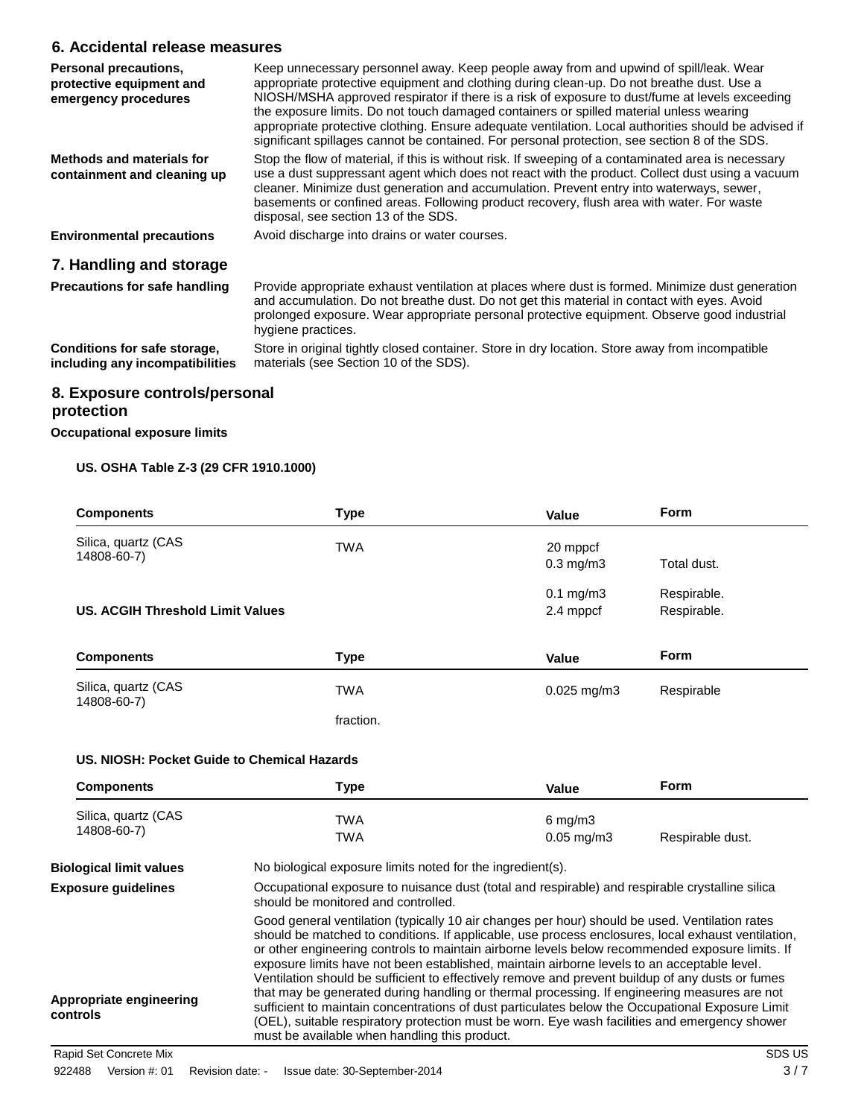# **6. Accidental release measures**

| Personal precautions,<br>protective equipment and<br>emergency procedures | Keep unnecessary personnel away. Keep people away from and upwind of spill/leak. Wear<br>appropriate protective equipment and clothing during clean-up. Do not breathe dust. Use a<br>NIOSH/MSHA approved respirator if there is a risk of exposure to dust/fume at levels exceeding<br>the exposure limits. Do not touch damaged containers or spilled material unless wearing<br>appropriate protective clothing. Ensure adequate ventilation. Local authorities should be advised if<br>significant spillages cannot be contained. For personal protection, see section 8 of the SDS. |
|---------------------------------------------------------------------------|------------------------------------------------------------------------------------------------------------------------------------------------------------------------------------------------------------------------------------------------------------------------------------------------------------------------------------------------------------------------------------------------------------------------------------------------------------------------------------------------------------------------------------------------------------------------------------------|
| Methods and materials for<br>containment and cleaning up                  | Stop the flow of material, if this is without risk. If sweeping of a contaminated area is necessary<br>use a dust suppressant agent which does not react with the product. Collect dust using a vacuum<br>cleaner. Minimize dust generation and accumulation. Prevent entry into waterways, sewer,<br>basements or confined areas. Following product recovery, flush area with water. For waste<br>disposal, see section 13 of the SDS.                                                                                                                                                  |
| <b>Environmental precautions</b>                                          | Avoid discharge into drains or water courses.                                                                                                                                                                                                                                                                                                                                                                                                                                                                                                                                            |
| 7. Handling and storage                                                   |                                                                                                                                                                                                                                                                                                                                                                                                                                                                                                                                                                                          |
| <b>Precautions for safe handling</b>                                      | Provide appropriate exhaust ventilation at places where dust is formed. Minimize dust generation<br>and accumulation. Do not breathe dust. Do not get this material in contact with eyes. Avoid<br>prolonged exposure. Wear appropriate personal protective equipment. Observe good industrial<br>hygiene practices.                                                                                                                                                                                                                                                                     |
| Conditions for safe storage,<br>including any incompatibilities           | Store in original tightly closed container. Store in dry location. Store away from incompatible<br>materials (see Section 10 of the SDS).                                                                                                                                                                                                                                                                                                                                                                                                                                                |

# **8. Exposure controls/personal protection**

### **Occupational exposure limits**

## **US. OSHA Table Z-3 (29 CFR 1910.1000)**

| <b>Components</b>                       | <b>Type</b> | Value          | <b>Form</b> |
|-----------------------------------------|-------------|----------------|-------------|
| Silica, quartz (CAS                     | <b>TWA</b>  | 20 mppcf       |             |
| 14808-60-7)                             |             | $0.3$ mg/m $3$ | Total dust. |
|                                         |             | $0.1$ mg/m $3$ | Respirable. |
| <b>US. ACGIH Threshold Limit Values</b> |             | 2.4 mppcf      | Respirable. |
| <b>Components</b>                       | <b>Type</b> | Value          | <b>Form</b> |
| Silica, quartz (CAS<br>14808-60-7)      | <b>TWA</b>  | $0.025$ mg/m3  | Respirable  |
|                                         | fraction.   |                |             |

### **US. NIOSH: Pocket Guide to Chemical Hazards**

| <b>Components</b>                                                                                                                                                    | Type                                                                                                                                                                                                                                                                                                                                                                                                                                                                                                                                                                                                                                                                                                                                                                                                                                                             | Value           | <b>Form</b>      |
|----------------------------------------------------------------------------------------------------------------------------------------------------------------------|------------------------------------------------------------------------------------------------------------------------------------------------------------------------------------------------------------------------------------------------------------------------------------------------------------------------------------------------------------------------------------------------------------------------------------------------------------------------------------------------------------------------------------------------------------------------------------------------------------------------------------------------------------------------------------------------------------------------------------------------------------------------------------------------------------------------------------------------------------------|-----------------|------------------|
| Silica, quartz (CAS                                                                                                                                                  | TWA                                                                                                                                                                                                                                                                                                                                                                                                                                                                                                                                                                                                                                                                                                                                                                                                                                                              | $6$ mg/m $3$    |                  |
| 14808-60-7)                                                                                                                                                          | <b>TWA</b>                                                                                                                                                                                                                                                                                                                                                                                                                                                                                                                                                                                                                                                                                                                                                                                                                                                       | $0.05$ mg/m $3$ | Respirable dust. |
| <b>Biological limit values</b>                                                                                                                                       | No biological exposure limits noted for the ingredient(s).                                                                                                                                                                                                                                                                                                                                                                                                                                                                                                                                                                                                                                                                                                                                                                                                       |                 |                  |
| Occupational exposure to nuisance dust (total and respirable) and respirable crystalline silica<br><b>Exposure guidelines</b><br>should be monitored and controlled. |                                                                                                                                                                                                                                                                                                                                                                                                                                                                                                                                                                                                                                                                                                                                                                                                                                                                  |                 |                  |
| Appropriate engineering<br>controls                                                                                                                                  | Good general ventilation (typically 10 air changes per hour) should be used. Ventilation rates<br>should be matched to conditions. If applicable, use process enclosures, local exhaust ventilation,<br>or other engineering controls to maintain airborne levels below recommended exposure limits. If<br>exposure limits have not been established, maintain airborne levels to an acceptable level.<br>Ventilation should be sufficient to effectively remove and prevent buildup of any dusts or fumes<br>that may be generated during handling or thermal processing. If engineering measures are not<br>sufficient to maintain concentrations of dust particulates below the Occupational Exposure Limit<br>(OEL), suitable respiratory protection must be worn. Eye wash facilities and emergency shower<br>must be available when handling this product. |                 |                  |

Rapid Set Concrete Mix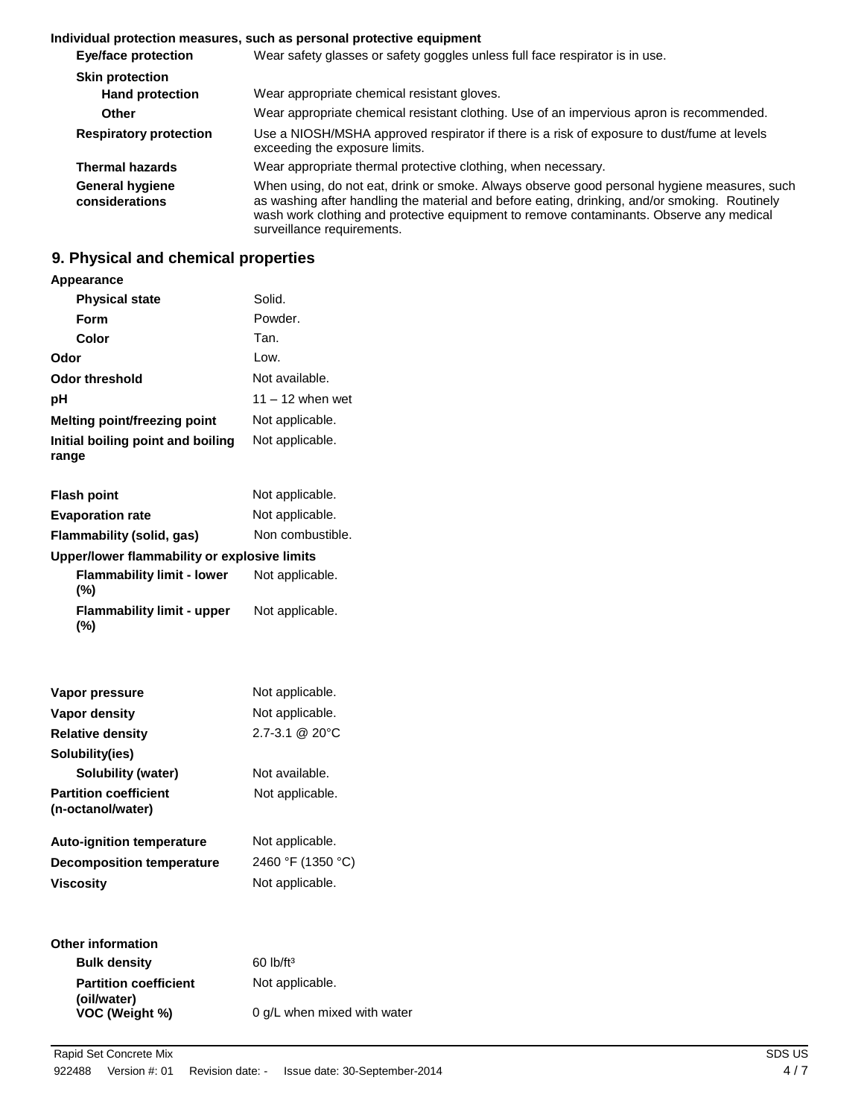## **Individual protection measures, such as personal protective equipment**

| <b>Eye/face protection</b>               | Wear safety glasses or safety goggles unless full face respirator is in use.                                                                                                                                                                                                                                          |
|------------------------------------------|-----------------------------------------------------------------------------------------------------------------------------------------------------------------------------------------------------------------------------------------------------------------------------------------------------------------------|
| <b>Skin protection</b>                   |                                                                                                                                                                                                                                                                                                                       |
| <b>Hand protection</b>                   | Wear appropriate chemical resistant gloves.                                                                                                                                                                                                                                                                           |
| <b>Other</b>                             | Wear appropriate chemical resistant clothing. Use of an impervious apron is recommended.                                                                                                                                                                                                                              |
| <b>Respiratory protection</b>            | Use a NIOSH/MSHA approved respirator if there is a risk of exposure to dust/fume at levels<br>exceeding the exposure limits.                                                                                                                                                                                          |
| <b>Thermal hazards</b>                   | Wear appropriate thermal protective clothing, when necessary.                                                                                                                                                                                                                                                         |
| <b>General hygiene</b><br>considerations | When using, do not eat, drink or smoke. Always observe good personal hygiene measures, such<br>as washing after handling the material and before eating, drinking, and/or smoking. Routinely<br>wash work clothing and protective equipment to remove contaminants. Observe any medical<br>surveillance requirements. |

# **9. Physical and chemical properties**

## **Appearance**

| <b>Physical state</b>                             | Solid.                      |
|---------------------------------------------------|-----------------------------|
| Form                                              | Powder.                     |
| Color                                             | Tan.                        |
| Odor                                              | Low.                        |
| <b>Odor threshold</b>                             | Not available.              |
| рH                                                | $11 - 12$ when wet          |
| <b>Melting point/freezing point</b>               | Not applicable.             |
| Initial boiling point and boiling<br>range        | Not applicable.             |
| <b>Flash point</b>                                | Not applicable.             |
| <b>Evaporation rate</b>                           | Not applicable.             |
| Flammability (solid, gas)                         | Non combustible.            |
| Upper/lower flammability or explosive limits      |                             |
| <b>Flammability limit - lower</b><br>(%)          | Not applicable.             |
| <b>Flammability limit - upper</b><br>$(\%)$       | Not applicable.             |
|                                                   |                             |
| Vapor pressure                                    | Not applicable.             |
| <b>Vapor density</b>                              | Not applicable.             |
| <b>Relative density</b>                           | 2.7-3.1 @ 20°C              |
| Solubility(ies)                                   |                             |
| Solubility (water)                                | Not available.              |
| <b>Partition coefficient</b><br>(n-octanol/water) | Not applicable.             |
| <b>Auto-ignition temperature</b>                  | Not applicable.             |
| <b>Decomposition temperature</b>                  | 2460 °F (1350 °C)           |
| <b>Viscosity</b>                                  | Not applicable.             |
| <b>Other information</b>                          |                             |
| <b>Bulk density</b>                               | 60 lb/ft <sup>3</sup>       |
| <b>Partition coefficient</b>                      | Not applicable.             |
| (oil/water)<br>VOC (Weight %)                     | 0 g/L when mixed with water |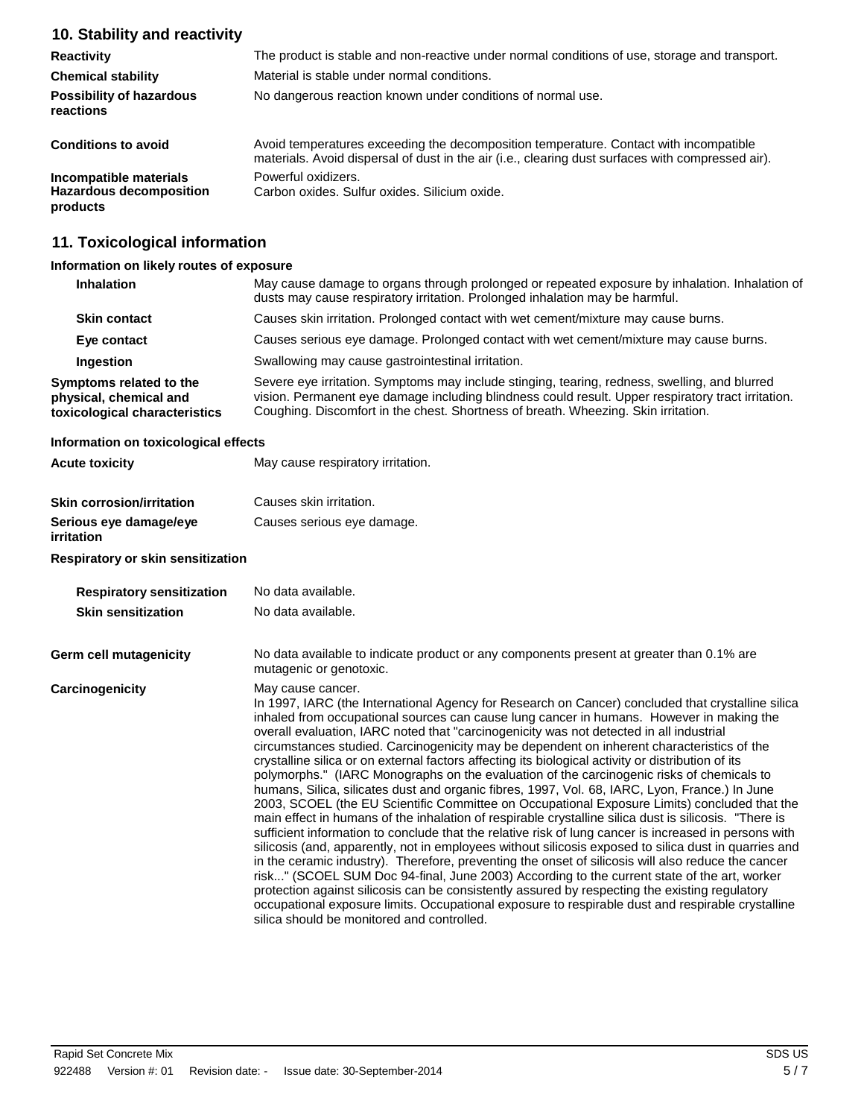# **10. Stability and reactivity**

| <b>Reactivity</b>                                                    | The product is stable and non-reactive under normal conditions of use, storage and transport.                                                                                              |  |
|----------------------------------------------------------------------|--------------------------------------------------------------------------------------------------------------------------------------------------------------------------------------------|--|
| <b>Chemical stability</b>                                            | Material is stable under normal conditions.                                                                                                                                                |  |
| <b>Possibility of hazardous</b><br>reactions                         | No dangerous reaction known under conditions of normal use.                                                                                                                                |  |
| <b>Conditions to avoid</b>                                           | Avoid temperatures exceeding the decomposition temperature. Contact with incompatible<br>materials. Avoid dispersal of dust in the air (i.e., clearing dust surfaces with compressed air). |  |
| Incompatible materials<br><b>Hazardous decomposition</b><br>products | Powerful oxidizers.<br>Carbon oxides. Sulfur oxides. Silicium oxide.                                                                                                                       |  |

# **11. Toxicological information**

## **Information on likely routes of exposure**

| <b>Inhalation</b>                                                                  | May cause damage to organs through prolonged or repeated exposure by inhalation. Inhalation of<br>dusts may cause respiratory irritation. Prolonged inhalation may be harmful.                                                                                                            |
|------------------------------------------------------------------------------------|-------------------------------------------------------------------------------------------------------------------------------------------------------------------------------------------------------------------------------------------------------------------------------------------|
| <b>Skin contact</b>                                                                | Causes skin irritation. Prolonged contact with wet cement/mixture may cause burns.                                                                                                                                                                                                        |
| Eye contact                                                                        | Causes serious eye damage. Prolonged contact with wet cement/mixture may cause burns.                                                                                                                                                                                                     |
| Ingestion                                                                          | Swallowing may cause gastrointestinal irritation.                                                                                                                                                                                                                                         |
| Symptoms related to the<br>physical, chemical and<br>toxicological characteristics | Severe eye irritation. Symptoms may include stinging, tearing, redness, swelling, and blurred<br>vision. Permanent eye damage including blindness could result. Upper respiratory tract irritation.<br>Coughing. Discomfort in the chest. Shortness of breath. Wheezing. Skin irritation. |

## **Information on toxicological effects**

| <b>Acute toxicity</b>                                                    | May cause respiratory irritation.                     |
|--------------------------------------------------------------------------|-------------------------------------------------------|
| <b>Skin corrosion/irritation</b><br>Serious eye damage/eye<br>irritation | Causes skin irritation.<br>Causes serious eye damage. |

### **Respiratory or skin sensitization**

| <b>Respiratory sensitization</b><br><b>Skin sensitization</b> | No data available.<br>No data available.                                                                                                                                                                                                                                                                                                                                                                                                                                                                                                                                                                                                                                                                                                                                                                                                                                                                                                                                                                                                                                                                                                                                                                                                                                                                                                                                                                                                                                                                                                                                                              |
|---------------------------------------------------------------|-------------------------------------------------------------------------------------------------------------------------------------------------------------------------------------------------------------------------------------------------------------------------------------------------------------------------------------------------------------------------------------------------------------------------------------------------------------------------------------------------------------------------------------------------------------------------------------------------------------------------------------------------------------------------------------------------------------------------------------------------------------------------------------------------------------------------------------------------------------------------------------------------------------------------------------------------------------------------------------------------------------------------------------------------------------------------------------------------------------------------------------------------------------------------------------------------------------------------------------------------------------------------------------------------------------------------------------------------------------------------------------------------------------------------------------------------------------------------------------------------------------------------------------------------------------------------------------------------------|
| Germ cell mutagenicity                                        | No data available to indicate product or any components present at greater than 0.1% are<br>mutagenic or genotoxic.                                                                                                                                                                                                                                                                                                                                                                                                                                                                                                                                                                                                                                                                                                                                                                                                                                                                                                                                                                                                                                                                                                                                                                                                                                                                                                                                                                                                                                                                                   |
| Carcinogenicity                                               | May cause cancer.<br>In 1997, IARC (the International Agency for Research on Cancer) concluded that crystalline silica<br>inhaled from occupational sources can cause lung cancer in humans. However in making the<br>overall evaluation, IARC noted that "carcinogenicity was not detected in all industrial<br>circumstances studied. Carcinogenicity may be dependent on inherent characteristics of the<br>crystalline silica or on external factors affecting its biological activity or distribution of its<br>polymorphs." (IARC Monographs on the evaluation of the carcinogenic risks of chemicals to<br>humans, Silica, silicates dust and organic fibres, 1997, Vol. 68, IARC, Lyon, France.) In June<br>2003, SCOEL (the EU Scientific Committee on Occupational Exposure Limits) concluded that the<br>main effect in humans of the inhalation of respirable crystalline silica dust is silicosis. "There is<br>sufficient information to conclude that the relative risk of lung cancer is increased in persons with<br>silicosis (and, apparently, not in employees without silicosis exposed to silica dust in quarries and<br>in the ceramic industry). Therefore, preventing the onset of silicosis will also reduce the cancer<br>risk" (SCOEL SUM Doc 94-final, June 2003) According to the current state of the art, worker<br>protection against silicosis can be consistently assured by respecting the existing regulatory<br>occupational exposure limits. Occupational exposure to respirable dust and respirable crystalline<br>silica should be monitored and controlled. |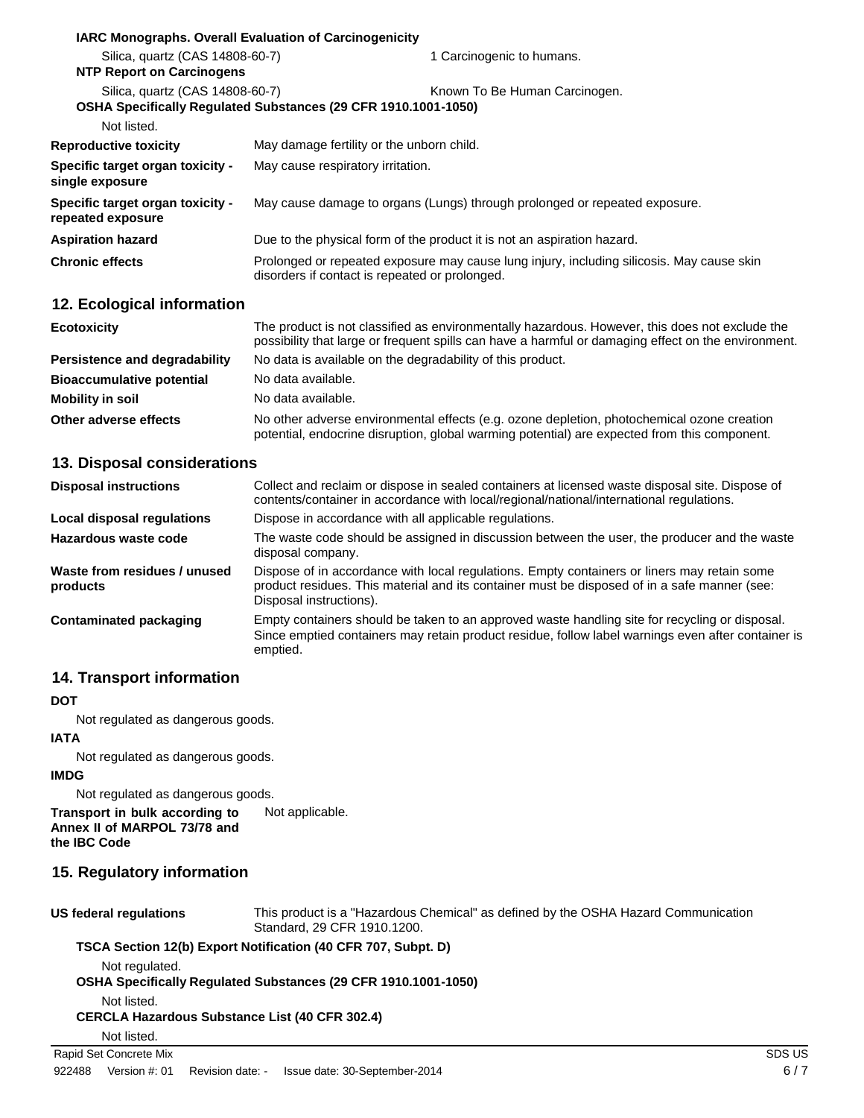| IARC Monographs. Overall Evaluation of Carcinogenicity              |                                                                                                                                             |  |
|---------------------------------------------------------------------|---------------------------------------------------------------------------------------------------------------------------------------------|--|
| Silica, quartz (CAS 14808-60-7)<br><b>NTP Report on Carcinogens</b> | 1 Carcinogenic to humans.                                                                                                                   |  |
| Silica, quartz (CAS 14808-60-7)<br>Not listed.                      | Known To Be Human Carcinogen.<br>OSHA Specifically Regulated Substances (29 CFR 1910.1001-1050)                                             |  |
| <b>Reproductive toxicity</b>                                        | May damage fertility or the unborn child.                                                                                                   |  |
| Specific target organ toxicity -<br>single exposure                 | May cause respiratory irritation.                                                                                                           |  |
| Specific target organ toxicity -<br>repeated exposure               | May cause damage to organs (Lungs) through prolonged or repeated exposure.                                                                  |  |
| <b>Aspiration hazard</b>                                            | Due to the physical form of the product it is not an aspiration hazard.                                                                     |  |
| <b>Chronic effects</b>                                              | Prolonged or repeated exposure may cause lung injury, including silicosis. May cause skin<br>disorders if contact is repeated or prolonged. |  |
| 12. Ecological information                                          |                                                                                                                                             |  |

| <b>Ecotoxicity</b>               | The product is not classified as environmentally hazardous. However, this does not exclude the<br>possibility that large or frequent spills can have a harmful or damaging effect on the environment. |
|----------------------------------|-------------------------------------------------------------------------------------------------------------------------------------------------------------------------------------------------------|
| Persistence and degradability    | No data is available on the degradability of this product.                                                                                                                                            |
| <b>Bioaccumulative potential</b> | No data available.                                                                                                                                                                                    |
| Mobility in soil                 | No data available.                                                                                                                                                                                    |
| Other adverse effects            | No other adverse environmental effects (e.g. ozone depletion, photochemical ozone creation<br>potential, endocrine disruption, global warming potential) are expected from this component.            |

## **13. Disposal considerations**

| <b>Disposal instructions</b>             | Collect and reclaim or dispose in sealed containers at licensed waste disposal site. Dispose of<br>contents/container in accordance with local/regional/national/international regulations.                            |
|------------------------------------------|------------------------------------------------------------------------------------------------------------------------------------------------------------------------------------------------------------------------|
| Local disposal regulations               | Dispose in accordance with all applicable regulations.                                                                                                                                                                 |
| Hazardous waste code                     | The waste code should be assigned in discussion between the user, the producer and the waste<br>disposal company.                                                                                                      |
| Waste from residues / unused<br>products | Dispose of in accordance with local regulations. Empty containers or liners may retain some<br>product residues. This material and its container must be disposed of in a safe manner (see:<br>Disposal instructions). |
| Contaminated packaging                   | Empty containers should be taken to an approved waste handling site for recycling or disposal.<br>Since emptied containers may retain product residue, follow label warnings even after container is<br>emptied.       |

# **14. Transport information**

## **DOT**

Not regulated as dangerous goods.

# **IATA**

Not regulated as dangerous goods.

# **IMDG**

Not regulated as dangerous goods.

**Transport in bulk according to Annex II of MARPOL 73/78 and the IBC Code** Not applicable.

# **15. Regulatory information**

|  | US federal regulations |
|--|------------------------|
|--|------------------------|

This product is a "Hazardous Chemical" as defined by the OSHA Hazard Communication Standard, 29 CFR 1910.1200.

# **TSCA Section 12(b) Export Notification (40 CFR 707, Subpt. D)**

Not regulated.

**OSHA Specifically Regulated Substances (29 CFR 1910.1001-1050)**

Not listed.

# **CERCLA Hazardous Substance List (40 CFR 302.4)**

Not listed.